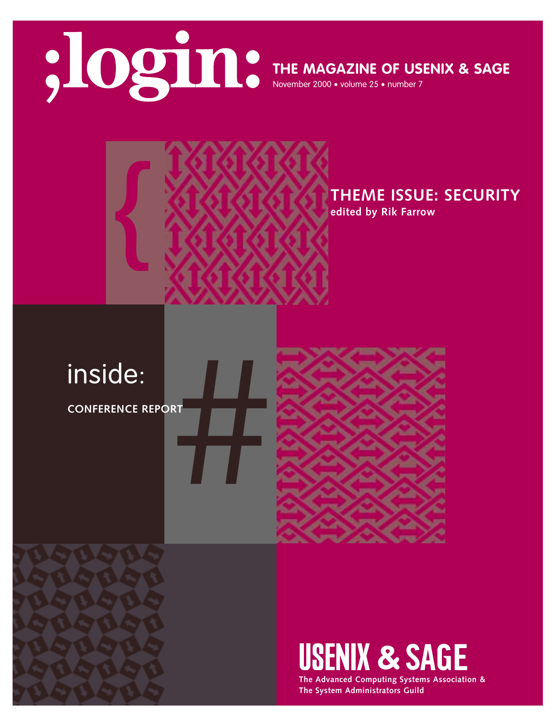

**THE MAGAZINE OF USENIX & SAGE**

November 2000 • volume 25 • number 7



**THEME ISSUE: SECURITY edited by Rik Farrow**

#inside:

**CONFERENCE REPORT**



**USENIX & SAGE** 

**The Advanced Computing Systems Association & The System Administrators Guild**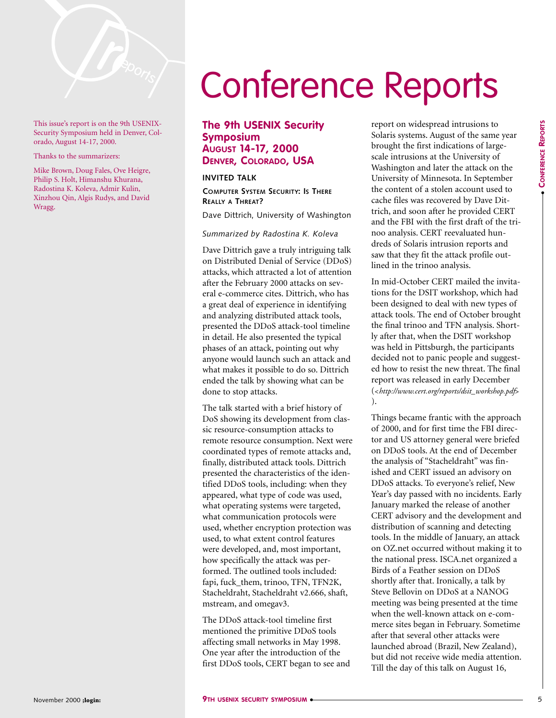

This issue's report is on the 9th USENIX-Security Symposium held in Denver, Colorado, August 14-17, 2000.

Thanks to the summarizers:

Mike Brown, Doug Fales, Ove Heigre, Philip S. Holt, Himanshu Khurana, Radostina K. Koleva, Admir Kulin, Xinzhou Qin, Algis Rudys, and David Wragg.

# Conference Reports

**The 9th USENIX Security Symposium AUGUST 14-17, 2000 DENVER, COLORADO, USA**

## **INVITED TALK**

**COMPUTER SYSTEM SECURITY: IS THERE REALLY A THREAT?**

Dave Dittrich, University of Washington

#### *Summarized by Radostina K. Koleva*

Dave Dittrich gave a truly intriguing talk on Distributed Denial of Service (DDoS) attacks, which attracted a lot of attention after the February 2000 attacks on several e-commerce cites. Dittrich, who has a great deal of experience in identifying and analyzing distributed attack tools, presented the DDoS attack-tool timeline in detail. He also presented the typical phases of an attack, pointing out why anyone would launch such an attack and what makes it possible to do so. Dittrich ended the talk by showing what can be done to stop attacks.

The talk started with a brief history of DoS showing its development from classic resource-consumption attacks to remote resource consumption. Next were coordinated types of remote attacks and, finally, distributed attack tools. Dittrich presented the characteristics of the identified DDoS tools, including: when they appeared, what type of code was used, what operating systems were targeted, what communication protocols were used, whether encryption protection was used, to what extent control features were developed, and, most important, how specifically the attack was performed. The outlined tools included: fapi, fuck\_them, trinoo, TFN, TFN2K, Stacheldraht, Stacheldraht v2.666, shaft, mstream, and omegav3.

The DDoS attack-tool timeline first mentioned the primitive DDoS tools affecting small networks in May 1998. One year after the introduction of the first DDoS tools, CERT began to see and report on widespread intrusions to Solaris systems. August of the same year brought the first indications of largescale intrusions at the University of Washington and later the attack on the University of Minnesota. In September the content of a stolen account used to cache files was recovered by Dave Dittrich, and soon after he provided CERT and the FBI with the first draft of the trinoo analysis. CERT reevaluated hundreds of Solaris intrusion reports and saw that they fit the attack profile outlined in the trinoo analysis.

In mid-October CERT mailed the invitations for the DSIT workshop, which had been designed to deal with new types of attack tools. The end of October brought the final trinoo and TFN analysis. Shortly after that, when the DSIT workshop was held in Pittsburgh, the participants decided not to panic people and suggested how to resist the new threat. The final report was released in early December (<*[http://www.cert.org/reports/dsit\\_workshop.pdf](http://www.cert.org/reports/dsit_workshop.pdf)*> ).

Things became frantic with the approach of 2000, and for first time the FBI director and US attorney general were briefed on DDoS tools. At the end of December the analysis of "Stacheldraht" was finished and CERT issued an advisory on DDoS attacks. To everyone's relief, New Year's day passed with no incidents. Early January marked the release of another CERT advisory and the development and distribution of scanning and detecting tools. In the middle of January, an attack on OZ.net occurred without making it to the national press. ISCA.net organized a Birds of a Feather session on DDoS shortly after that. Ironically, a talk by Steve Bellovin on DDoS at a NANOG meeting was being presented at the time when the well-known attack on e-commerce sites began in February. Sometime after that several other attacks were launched abroad (Brazil, New Zealand), but did not receive wide media attention. Till the day of this talk on August 16,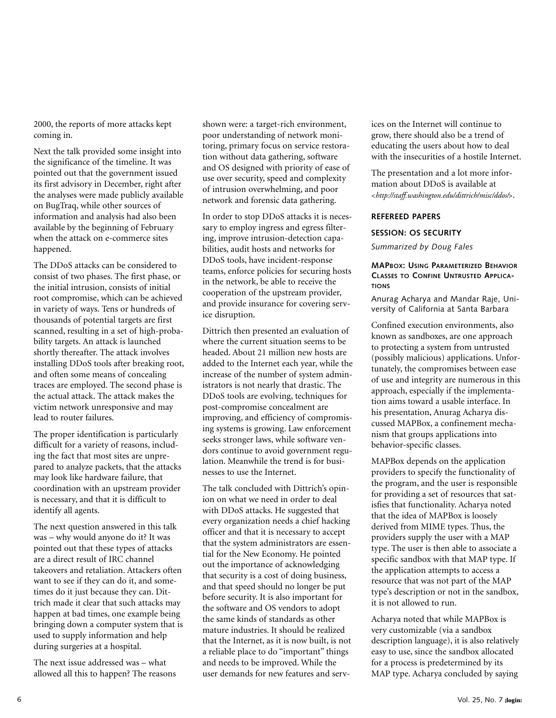2000, the reports of more attacks kept coming in.

Next the talk provided some insight into the significance of the timeline. It was pointed out that the government issued its first advisory in December, right after the analyses were made publicly available on BugTraq, while other sources of information and analysis had also been available by the beginning of February when the attack on e-commerce sites happened.

The DDoS attacks can be considered to consist of two phases. The first phase, or the initial intrusion, consists of initial root compromise, which can be achieved in variety of ways. Tens or hundreds of thousands of potential targets are first scanned, resulting in a set of high-probability targets. An attack is launched shortly thereafter. The attack involves installing DDoS tools after breaking root, and often some means of concealing traces are employed. The second phase is the actual attack. The attack makes the victim network unresponsive and may lead to router failures.

The proper identification is particularly difficult for a variety of reasons, including the fact that most sites are unprepared to analyze packets, that the attacks may look like hardware failure, that coordination with an upstream provider is necessary, and that it is difficult to identify all agents.

The next question answered in this talk was – why would anyone do it? It was pointed out that these types of attacks are a direct result of IRC channel takeovers and retaliation. Attackers often want to see if they can do it, and sometimes do it just because they can. Dittrich made it clear that such attacks may happen at bad times, one example being bringing down a computer system that is used to supply information and help during surgeries at a hospital.

The next issue addressed was – what allowed all this to happen? The reasons shown were: a target-rich environment, poor understanding of network monitoring, primary focus on service restoration without data gathering, software and OS designed with priority of ease of use over security, speed and complexity of intrusion overwhelming, and poor network and forensic data gathering.

In order to stop DDoS attacks it is necessary to employ ingress and egress filtering, improve intrusion-detection capabilities, audit hosts and networks for DDoS tools, have incident-response teams, enforce policies for securing hosts in the network, be able to receive the cooperation of the upstream provider, and provide insurance for covering service disruption.

Dittrich then presented an evaluation of where the current situation seems to be headed. About 21 million new hosts are added to the Internet each year, while the increase of the number of system administrators is not nearly that drastic. The DDoS tools are evolving, techniques for post-compromise concealment are improving, and efficiency of compromising systems is growing. Law enforcement seeks stronger laws, while software vendors continue to avoid government regulation. Meanwhile the trend is for businesses to use the Internet.

The talk concluded with Dittrich's opinion on what we need in order to deal with DDoS attacks. He suggested that every organization needs a chief hacking officer and that it is necessary to accept that the system administrators are essential for the New Economy. He pointed out the importance of acknowledging that security is a cost of doing business, and that speed should no longer be put before security. It is also important for the software and OS vendors to adopt the same kinds of standards as other mature industries. It should be realized that the Internet, as it is now built, is not a reliable place to do "important" things and needs to be improved. While the user demands for new features and services on the Internet will continue to grow, there should also be a trend of educating the users about how to deal with the insecurities of a hostile Internet.

The presentation and a lot more information about DDoS is available at <*<http://staff.washington.edu/dittrich/misc/ddos/>*>.

## **REFEREED PAPERS**

## **SESSION: OS SECURITY**

*Summarized by Doug Fales*

## **MAPBOX: USING PARAMETERIZED BEHAVIOR CLASSES TO CONFINE UNTRUSTED APPLICA-TIONS**

Anurag Acharya and Mandar Raje, University of California at Santa Barbara

Confined execution environments, also known as sandboxes, are one approach to protecting a system from untrusted (possibly malicious) applications. Unfortunately, the compromises between ease of use and integrity are numerous in this approach, especially if the implementation aims toward a usable interface. In his presentation, Anurag Acharya discussed MAPBox, a confinement mechanism that groups applications into behavior-specific classes.

MAPBox depends on the application providers to specify the functionality of the program, and the user is responsible for providing a set of resources that satisfies that functionality. Acharya noted that the idea of MAPBox is loosely derived from MIME types. Thus, the providers supply the user with a MAP type. The user is then able to associate a specific sandbox with that MAP type. If the application attempts to access a resource that was not part of the MAP type's description or not in the sandbox, it is not allowed to run.

Acharya noted that while MAPBox is very customizable (via a sandbox description language), it is also relatively easy to use, since the sandbox allocated for a process is predetermined by its MAP type. Acharya concluded by saying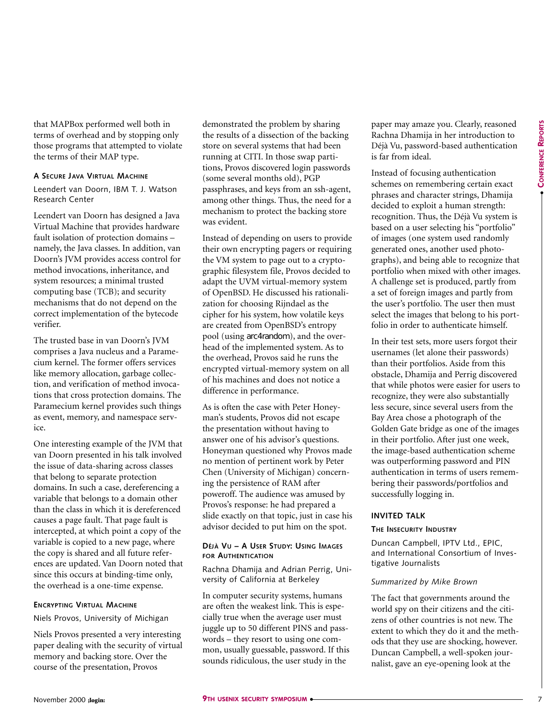●

that MAPBox performed well both in terms of overhead and by stopping only those programs that attempted to violate the terms of their MAP type.

#### **A SECURE JAVA VIRTUAL MACHINE**

Leendert van Doorn, IBM T. J. Watson Research Center

Leendert van Doorn has designed a Java Virtual Machine that provides hardware fault isolation of protection domains – namely, the Java classes. In addition, van Doorn's JVM provides access control for method invocations, inheritance, and system resources; a minimal trusted computing base (TCB); and security mechanisms that do not depend on the correct implementation of the bytecode verifier.

The trusted base in van Doorn's JVM comprises a Java nucleus and a Paramecium kernel. The former offers services like memory allocation, garbage collection, and verification of method invocations that cross protection domains. The Paramecium kernel provides such things as event, memory, and namespace service.

One interesting example of the JVM that van Doorn presented in his talk involved the issue of data-sharing across classes that belong to separate protection domains. In such a case, dereferencing a variable that belongs to a domain other than the class in which it is dereferenced causes a page fault. That page fault is intercepted, at which point a copy of the variable is copied to a new page, where the copy is shared and all future references are updated. Van Doorn noted that since this occurs at binding-time only, the overhead is a one-time expense.

#### **ENCRYPTING VIRTUAL MACHINE**

Niels Provos, University of Michigan

Niels Provos presented a very interesting paper dealing with the security of virtual memory and backing store. Over the course of the presentation, Provos

demonstrated the problem by sharing the results of a dissection of the backing store on several systems that had been running at CITI. In those swap partitions, Provos discovered login passwords (some several months old), PGP passphrases, and keys from an ssh-agent, among other things. Thus, the need for a mechanism to protect the backing store was evident.

Instead of depending on users to provide their own encrypting pagers or requiring the VM system to page out to a cryptographic filesystem file, Provos decided to adapt the UVM virtual-memory system of OpenBSD. He discussed his rationalization for choosing Rijndael as the cipher for his system, how volatile keys are created from OpenBSD's entropy pool (using arc4random), and the overhead of the implemented system. As to the overhead, Provos said he runs the encrypted virtual-memory system on all of his machines and does not notice a difference in performance.

As is often the case with Peter Honeyman's students, Provos did not escape the presentation without having to answer one of his advisor's questions. Honeyman questioned why Provos made no mention of pertinent work by Peter Chen (University of Michigan) concerning the persistence of RAM after poweroff. The audience was amused by Provos's response: he had prepared a slide exactly on that topic, just in case his advisor decided to put him on the spot.

## **DÉJÀ VU – A USER STUDY: USING IMAGES FOR AUTHENTICATION**

Rachna Dhamija and Adrian Perrig, University of California at Berkeley

In computer security systems, humans are often the weakest link. This is especially true when the average user must juggle up to 50 different PINS and passwords – they resort to using one common, usually guessable, password. If this sounds ridiculous, the user study in the

paper may amaze you. Clearly, reasoned Rachna Dhamija in her introduction to Déjà Vu, password-based authentication is far from ideal.

Instead of focusing authentication schemes on remembering certain exact phrases and character strings, Dhamija decided to exploit a human strength: recognition. Thus, the Déjà Vu system is based on a user selecting his "portfolio" of images (one system used randomly generated ones, another used photographs), and being able to recognize that portfolio when mixed with other images. A challenge set is produced, partly from a set of foreign images and partly from the user's portfolio. The user then must select the images that belong to his portfolio in order to authenticate himself.

In their test sets, more users forgot their usernames (let alone their passwords) than their portfolios. Aside from this obstacle, Dhamija and Perrig discovered that while photos were easier for users to recognize, they were also substantially less secure, since several users from the Bay Area chose a photograph of the Golden Gate bridge as one of the images in their portfolio. After just one week, the image-based authentication scheme was outperforming password and PIN authentication in terms of users remembering their passwords/portfolios and successfully logging in.

#### **INVITED TALK**

## **THE INSECURITY INDUSTRY**

Duncan Campbell, IPTV Ltd., EPIC, and International Consortium of Investigative Journalists

## *Summarized by Mike Brown*

The fact that governments around the world spy on their citizens and the citizens of other countries is not new. The extent to which they do it and the methods that they use are shocking, however. Duncan Campbell, a well-spoken journalist, gave an eye-opening look at the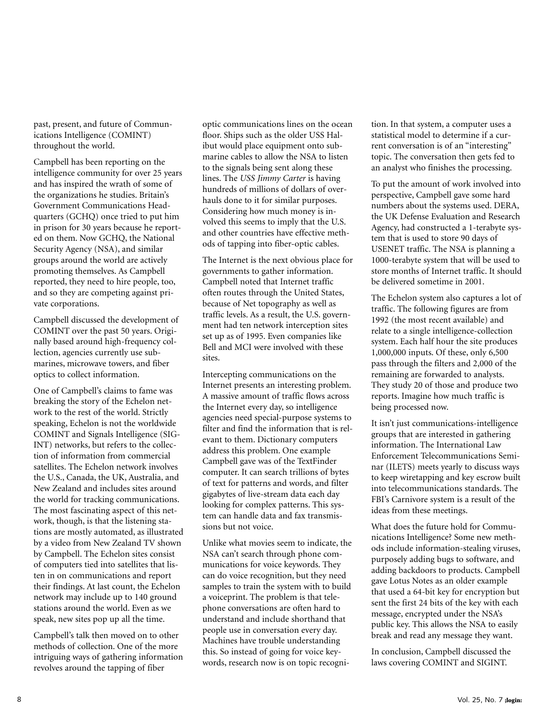past, present, and future of Communications Intelligence (COMINT) throughout the world.

Campbell has been reporting on the intelligence community for over 25 years and has inspired the wrath of some of the organizations he studies. Britain's Government Communications Headquarters (GCHQ) once tried to put him in prison for 30 years because he reported on them. Now GCHQ, the National Security Agency (NSA), and similar groups around the world are actively promoting themselves. As Campbell reported, they need to hire people, too, and so they are competing against private corporations.

Campbell discussed the development of COMINT over the past 50 years. Originally based around high-frequency collection, agencies currently use submarines, microwave towers, and fiber optics to collect information.

One of Campbell's claims to fame was breaking the story of the Echelon network to the rest of the world. Strictly speaking, Echelon is not the worldwide COMINT and Signals Intelligence (SIG-INT) networks, but refers to the collection of information from commercial satellites. The Echelon network involves the U.S., Canada, the UK, Australia, and New Zealand and includes sites around the world for tracking communications. The most fascinating aspect of this network, though, is that the listening stations are mostly automated, as illustrated by a video from New Zealand TV shown by Campbell. The Echelon sites consist of computers tied into satellites that listen in on communications and report their findings. At last count, the Echelon network may include up to 140 ground stations around the world. Even as we speak, new sites pop up all the time.

Campbell's talk then moved on to other methods of collection. One of the more intriguing ways of gathering information revolves around the tapping of fiber

optic communications lines on the ocean floor. Ships such as the older USS Halibut would place equipment onto submarine cables to allow the NSA to listen to the signals being sent along these lines. The *USS Jimmy Carter* is having hundreds of millions of dollars of overhauls done to it for similar purposes. Considering how much money is involved this seems to imply that the U.S. and other countries have effective methods of tapping into fiber-optic cables.

The Internet is the next obvious place for governments to gather information. Campbell noted that Internet traffic often routes through the United States, because of Net topography as well as traffic levels. As a result, the U.S. government had ten network interception sites set up as of 1995. Even companies like Bell and MCI were involved with these sites.

Intercepting communications on the Internet presents an interesting problem. A massive amount of traffic flows across the Internet every day, so intelligence agencies need special-purpose systems to filter and find the information that is relevant to them. Dictionary computers address this problem. One example Campbell gave was of the TextFinder computer. It can search trillions of bytes of text for patterns and words, and filter gigabytes of live-stream data each day looking for complex patterns. This system can handle data and fax transmissions but not voice.

Unlike what movies seem to indicate, the NSA can't search through phone communications for voice keywords. They can do voice recognition, but they need samples to train the system with to build a voiceprint. The problem is that telephone conversations are often hard to understand and include shorthand that people use in conversation every day. Machines have trouble understanding this. So instead of going for voice keywords, research now is on topic recognition. In that system, a computer uses a statistical model to determine if a current conversation is of an "interesting" topic. The conversation then gets fed to an analyst who finishes the processing.

To put the amount of work involved into perspective, Campbell gave some hard numbers about the systems used. DERA, the UK Defense Evaluation and Research Agency, had constructed a 1-terabyte system that is used to store 90 days of USENET traffic. The NSA is planning a 1000-terabyte system that will be used to store months of Internet traffic. It should be delivered sometime in 2001.

The Echelon system also captures a lot of traffic. The following figures are from 1992 (the most recent available) and relate to a single intelligence-collection system. Each half hour the site produces 1,000,000 inputs. Of these, only 6,500 pass through the filters and 2,000 of the remaining are forwarded to analysts. They study 20 of those and produce two reports. Imagine how much traffic is being processed now.

It isn't just communications-intelligence groups that are interested in gathering information. The International Law Enforcement Telecommunications Seminar (ILETS) meets yearly to discuss ways to keep wiretapping and key escrow built into telecommunications standards. The FBI's Carnivore system is a result of the ideas from these meetings.

What does the future hold for Communications Intelligence? Some new methods include information-stealing viruses, purposely adding bugs to software, and adding backdoors to products. Campbell gave Lotus Notes as an older example that used a 64-bit key for encryption but sent the first 24 bits of the key with each message, encrypted under the NSA's public key. This allows the NSA to easily break and read any message they want.

In conclusion, Campbell discussed the laws covering COMINT and SIGINT.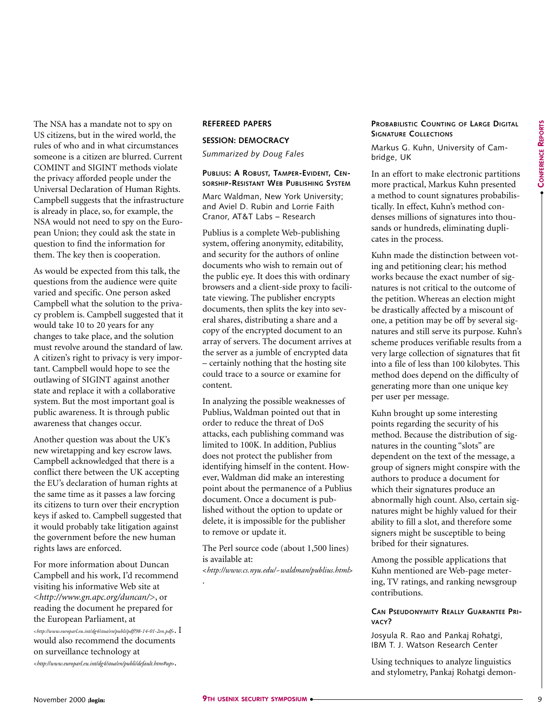**CONFERENCE CONFERENCE REPORTS** 

●

The NSA has a mandate not to spy on US citizens, but in the wired world, the rules of who and in what circumstances someone is a citizen are blurred. Current COMINT and SIGINT methods violate the privacy afforded people under the Universal Declaration of Human Rights. Campbell suggests that the infrastructure is already in place, so, for example, the NSA would not need to spy on the European Union; they could ask the state in question to find the information for them. The key then is cooperation.

As would be expected from this talk, the questions from the audience were quite varied and specific. One person asked Campbell what the solution to the privacy problem is. Campbell suggested that it would take 10 to 20 years for any changes to take place, and the solution must revolve around the standard of law. A citizen's right to privacy is very important. Campbell would hope to see the outlawing of SIGINT against another state and replace it with a collaborative system. But the most important goal is public awareness. It is through public awareness that changes occur.

Another question was about the UK's new wiretapping and key escrow laws. Campbell acknowledged that there is a conflict there between the UK accepting the EU's declaration of human rights at the same time as it passes a law forcing its citizens to turn over their encryption keys if asked to. Campbell suggested that it would probably take litigation against the government before the new human rights laws are enforced.

For more information about Duncan Campbell and his work, I'd recommend visiting his informative Web site at <*<http://www.gn.apc.org/duncan/>*>, or reading the document he prepared for the European Parliament, at <sup>&</sup>lt;*<http://www.europarl.eu.int/dg4/stoa/en/publi/pdf/98-14-01-2en.pdf>*>. I would also recommend the documents on surveillance technology at <*<http://www.europarl.eu.int/dg4/stoa/en/publi/default.htm#up>*>.

## **REFEREED PAPERS**

## **SESSION: DEMOCRACY**

*Summarized by Doug Fales*

### **PUBLIUS: A ROBUST, TAMPER-EVIDENT, CEN-SORSHIP-RESISTANT WEB PUBLISHING SYSTEM**

Marc Waldman, New York University; and Aviel D. Rubin and Lorrie Faith Cranor, AT&T Labs – Research

Publius is a complete Web-publishing system, offering anonymity, editability, and security for the authors of online documents who wish to remain out of the public eye. It does this with ordinary browsers and a client-side proxy to facilitate viewing. The publisher encrypts documents, then splits the key into several shares, distributing a share and a copy of the encrypted document to an array of servers. The document arrives at the server as a jumble of encrypted data – certainly nothing that the hosting site could trace to a source or examine for content.

In analyzing the possible weaknesses of Publius, Waldman pointed out that in order to reduce the threat of DoS attacks, each publishing command was limited to 100K. In addition, Publius does not protect the publisher from identifying himself in the content. However, Waldman did make an interesting point about the permanence of a Publius document. Once a document is published without the option to update or delete, it is impossible for the publisher to remove or update it.

The Perl source code (about 1,500 lines) is available at:

<*<http://www.cs.nyu.edu/~waldman/publius.html>*>

.

## **PROBABILISTIC COUNTING OF LARGE DIGITAL SIGNATURE COLLECTIONS**

Markus G. Kuhn, University of Cambridge, UK

In an effort to make electronic partitions more practical, Markus Kuhn presented a method to count signatures probabilistically. In effect, Kuhn's method condenses millions of signatures into thousands or hundreds, eliminating duplicates in the process.

Kuhn made the distinction between voting and petitioning clear; his method works because the exact number of signatures is not critical to the outcome of the petition. Whereas an election might be drastically affected by a miscount of one, a petition may be off by several signatures and still serve its purpose. Kuhn's scheme produces verifiable results from a very large collection of signatures that fit into a file of less than 100 kilobytes. This method does depend on the difficulty of generating more than one unique key per user per message.

Kuhn brought up some interesting points regarding the security of his method. Because the distribution of signatures in the counting "slots" are dependent on the text of the message, a group of signers might conspire with the authors to produce a document for which their signatures produce an abnormally high count. Also, certain signatures might be highly valued for their ability to fill a slot, and therefore some signers might be susceptible to being bribed for their signatures.

Among the possible applications that Kuhn mentioned are Web-page metering, TV ratings, and ranking newsgroup contributions.

## **CAN PSEUDONYMITY REALLY GUARANTEE PRI-VACY?**

Josyula R. Rao and Pankaj Rohatgi, IBM T. J. Watson Research Center

Using techniques to analyze linguistics and stylometry, Pankaj Rohatgi demon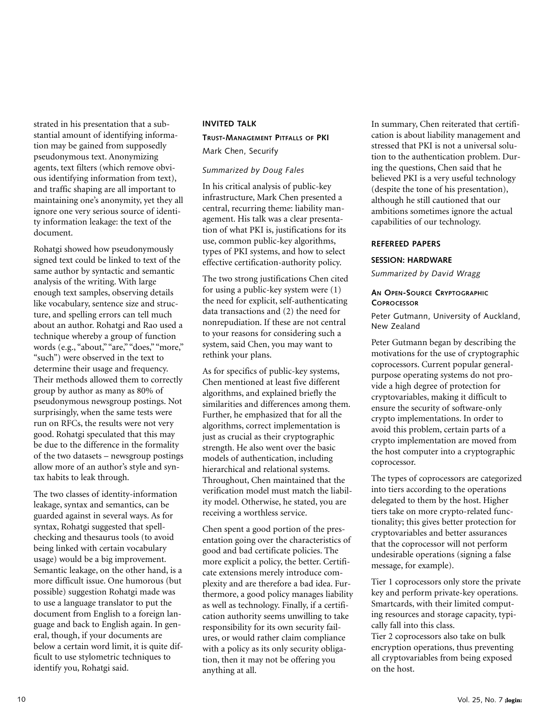strated in his presentation that a substantial amount of identifying information may be gained from supposedly pseudonymous text. Anonymizing agents, text filters (which remove obvious identifying information from text), and traffic shaping are all important to maintaining one's anonymity, yet they all ignore one very serious source of identity information leakage: the text of the document.

Rohatgi showed how pseudonymously signed text could be linked to text of the same author by syntactic and semantic analysis of the writing. With large enough text samples, observing details like vocabulary, sentence size and structure, and spelling errors can tell much about an author. Rohatgi and Rao used a technique whereby a group of function words (e.g., "about," "are," "does," "more," "such") were observed in the text to determine their usage and frequency. Their methods allowed them to correctly group by author as many as 80% of pseudonymous newsgroup postings. Not surprisingly, when the same tests were run on RFCs, the results were not very good. Rohatgi speculated that this may be due to the difference in the formality of the two datasets – newsgroup postings allow more of an author's style and syntax habits to leak through.

The two classes of identity-information leakage, syntax and semantics, can be guarded against in several ways. As for syntax, Rohatgi suggested that spellchecking and thesaurus tools (to avoid being linked with certain vocabulary usage) would be a big improvement. Semantic leakage, on the other hand, is a more difficult issue. One humorous (but possible) suggestion Rohatgi made was to use a language translator to put the document from English to a foreign language and back to English again. In general, though, if your documents are below a certain word limit, it is quite difficult to use stylometric techniques to identify you, Rohatgi said.

## **INVITED TALK**

## **TRUST-MANAGEMENT PITFALLS OF PKI** Mark Chen, Securify

## *Summarized by Doug Fales*

In his critical analysis of public-key infrastructure, Mark Chen presented a central, recurring theme: liability management. His talk was a clear presentation of what PKI is, justifications for its use, common public-key algorithms, types of PKI systems, and how to select effective certification-authority policy.

The two strong justifications Chen cited for using a public-key system were (1) the need for explicit, self-authenticating data transactions and (2) the need for nonrepudiation. If these are not central to your reasons for considering such a system, said Chen, you may want to rethink your plans.

As for specifics of public-key systems, Chen mentioned at least five different algorithms, and explained briefly the similarities and differences among them. Further, he emphasized that for all the algorithms, correct implementation is just as crucial as their cryptographic strength. He also went over the basic models of authentication, including hierarchical and relational systems. Throughout, Chen maintained that the verification model must match the liability model. Otherwise, he stated, you are receiving a worthless service.

Chen spent a good portion of the presentation going over the characteristics of good and bad certificate policies. The more explicit a policy, the better. Certificate extensions merely introduce complexity and are therefore a bad idea. Furthermore, a good policy manages liability as well as technology. Finally, if a certification authority seems unwilling to take responsibility for its own security failures, or would rather claim compliance with a policy as its only security obligation, then it may not be offering you anything at all.

In summary, Chen reiterated that certification is about liability management and stressed that PKI is not a universal solution to the authentication problem. During the questions, Chen said that he believed PKI is a very useful technology (despite the tone of his presentation), although he still cautioned that our ambitions sometimes ignore the actual capabilities of our technology.

## **REFEREED PAPERS**

#### **SESSION: HARDWARE**

*Summarized by David Wragg*

## **AN OPEN-SOURCE CRYPTOGRAPHIC COPROCESSOR**

Peter Gutmann, University of Auckland, New Zealand

Peter Gutmann began by describing the motivations for the use of cryptographic coprocessors. Current popular generalpurpose operating systems do not provide a high degree of protection for cryptovariables, making it difficult to ensure the security of software-only crypto implementations. In order to avoid this problem, certain parts of a crypto implementation are moved from the host computer into a cryptographic coprocessor.

The types of coprocessors are categorized into tiers according to the operations delegated to them by the host. Higher tiers take on more crypto-related functionality; this gives better protection for cryptovariables and better assurances that the coprocessor will not perform undesirable operations (signing a false message, for example).

Tier 1 coprocessors only store the private key and perform private-key operations. Smartcards, with their limited computing resources and storage capacity, typically fall into this class.

Tier 2 coprocessors also take on bulk encryption operations, thus preventing all cryptovariables from being exposed on the host.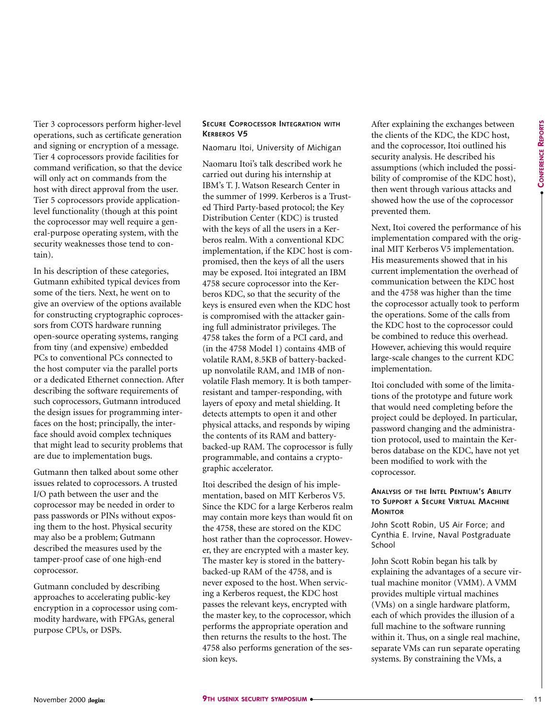Tier 3 coprocessors perform higher-level operations, such as certificate generation and signing or encryption of a message. Tier 4 coprocessors provide facilities for command verification, so that the device will only act on commands from the host with direct approval from the user. Tier 5 coprocessors provide applicationlevel functionality (though at this point the coprocessor may well require a general-purpose operating system, with the security weaknesses those tend to contain).

In his description of these categories, Gutmann exhibited typical devices from some of the tiers. Next, he went on to give an overview of the options available for constructing cryptographic coprocessors from COTS hardware running open-source operating systems, ranging from tiny (and expensive) embedded PCs to conventional PCs connected to the host computer via the parallel ports or a dedicated Ethernet connection. After describing the software requirements of such coprocessors, Gutmann introduced the design issues for programming interfaces on the host; principally, the interface should avoid complex techniques that might lead to security problems that are due to implementation bugs.

Gutmann then talked about some other issues related to coprocessors. A trusted I/O path between the user and the coprocessor may be needed in order to pass passwords or PINs without exposing them to the host. Physical security may also be a problem; Gutmann described the measures used by the tamper-proof case of one high-end coprocessor.

Gutmann concluded by describing approaches to accelerating public-key encryption in a coprocessor using commodity hardware, with FPGAs, general purpose CPUs, or DSPs.

## **SECURE COPROCESSOR INTEGRATION WITH KERBEROS V5**

Naomaru Itoi, University of Michigan

Naomaru Itoi's talk described work he carried out during his internship at IBM's T. J. Watson Research Center in the summer of 1999. Kerberos is a Trusted Third Party-based protocol; the Key Distribution Center (KDC) is trusted with the keys of all the users in a Kerberos realm. With a conventional KDC implementation, if the KDC host is compromised, then the keys of all the users may be exposed. Itoi integrated an IBM 4758 secure coprocessor into the Kerberos KDC, so that the security of the keys is ensured even when the KDC host is compromised with the attacker gaining full administrator privileges. The 4758 takes the form of a PCI card, and (in the 4758 Model 1) contains 4MB of volatile RAM, 8.5KB of battery-backedup nonvolatile RAM, and 1MB of nonvolatile Flash memory. It is both tamperresistant and tamper-responding, with layers of epoxy and metal shielding. It detects attempts to open it and other physical attacks, and responds by wiping the contents of its RAM and batterybacked-up RAM. The coprocessor is fully programmable, and contains a cryptographic accelerator.

Itoi described the design of his implementation, based on MIT Kerberos V5. Since the KDC for a large Kerberos realm may contain more keys than would fit on the 4758, these are stored on the KDC host rather than the coprocessor. However, they are encrypted with a master key. The master key is stored in the batterybacked-up RAM of the 4758, and is never exposed to the host. When servicing a Kerberos request, the KDC host passes the relevant keys, encrypted with the master key, to the coprocessor, which performs the appropriate operation and then returns the results to the host. The 4758 also performs generation of the session keys.

After explaining the exchanges between the clients of the KDC, the KDC host, and the coprocessor, Itoi outlined his security analysis. He described his assumptions (which included the possibility of compromise of the KDC host), then went through various attacks and showed how the use of the coprocessor prevented them.

Next, Itoi covered the performance of his implementation compared with the original MIT Kerberos V5 implementation. His measurements showed that in his current implementation the overhead of communication between the KDC host and the 4758 was higher than the time the coprocessor actually took to perform the operations. Some of the calls from the KDC host to the coprocessor could be combined to reduce this overhead. However, achieving this would require large-scale changes to the current KDC implementation.

Itoi concluded with some of the limitations of the prototype and future work that would need completing before the project could be deployed. In particular, password changing and the administration protocol, used to maintain the Kerberos database on the KDC, have not yet been modified to work with the coprocessor.

## **ANALYSIS OF THE INTEL PENTIUM'S ABILITY TO SUPPORT A SECURE VIRTUAL MACHINE MONITOR**

John Scott Robin, US Air Force; and Cynthia E. Irvine, Naval Postgraduate School

John Scott Robin began his talk by explaining the advantages of a secure virtual machine monitor (VMM). A VMM provides multiple virtual machines (VMs) on a single hardware platform, each of which provides the illusion of a full machine to the software running within it. Thus, on a single real machine, separate VMs can run separate operating systems. By constraining the VMs, a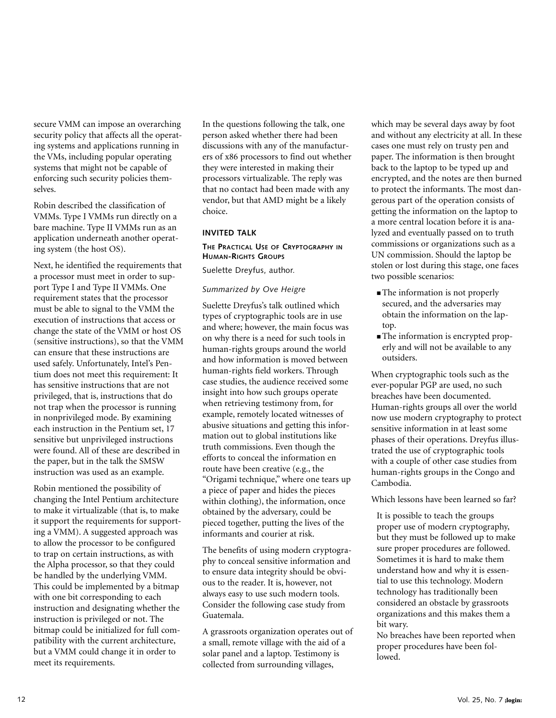secure VMM can impose an overarching security policy that affects all the operating systems and applications running in the VMs, including popular operating systems that might not be capable of enforcing such security policies themselves.

Robin described the classification of VMMs. Type I VMMs run directly on a bare machine. Type II VMMs run as an application underneath another operating system (the host OS).

Next, he identified the requirements that a processor must meet in order to support Type I and Type II VMMs. One requirement states that the processor must be able to signal to the VMM the execution of instructions that access or change the state of the VMM or host OS (sensitive instructions), so that the VMM can ensure that these instructions are used safely. Unfortunately, Intel's Pentium does not meet this requirement: It has sensitive instructions that are not privileged, that is, instructions that do not trap when the processor is running in nonprivileged mode. By examining each instruction in the Pentium set, 17 sensitive but unprivileged instructions were found. All of these are described in the paper, but in the talk the SMSW instruction was used as an example.

Robin mentioned the possibility of changing the Intel Pentium architecture to make it virtualizable (that is, to make it support the requirements for supporting a VMM). A suggested approach was to allow the processor to be configured to trap on certain instructions, as with the Alpha processor, so that they could be handled by the underlying VMM. This could be implemented by a bitmap with one bit corresponding to each instruction and designating whether the instruction is privileged or not. The bitmap could be initialized for full compatibility with the current architecture, but a VMM could change it in order to meet its requirements.

In the questions following the talk, one person asked whether there had been discussions with any of the manufacturers of x86 processors to find out whether they were interested in making their processors virtualizable. The reply was that no contact had been made with any vendor, but that AMD might be a likely choice.

## **INVITED TALK**

## **THE PRACTICAL USE OF CRYPTOGRAPHY IN HUMAN-RIGHTS GROUPS**

Suelette Dreyfus, author.

## *Summarized by Ove Heigre*

Suelette Dreyfus's talk outlined which types of cryptographic tools are in use and where; however, the main focus was on why there is a need for such tools in human-rights groups around the world and how information is moved between human-rights field workers. Through case studies, the audience received some insight into how such groups operate when retrieving testimony from, for example, remotely located witnesses of abusive situations and getting this information out to global institutions like truth commissions. Even though the efforts to conceal the information en route have been creative (e.g., the "Origami technique," where one tears up a piece of paper and hides the pieces within clothing), the information, once obtained by the adversary, could be pieced together, putting the lives of the informants and courier at risk.

The benefits of using modern cryptography to conceal sensitive information and to ensure data integrity should be obvious to the reader. It is, however, not always easy to use such modern tools. Consider the following case study from Guatemala.

A grassroots organization operates out of a small, remote village with the aid of a solar panel and a laptop. Testimony is collected from surrounding villages,

which may be several days away by foot and without any electricity at all. In these cases one must rely on trusty pen and paper. The information is then brought back to the laptop to be typed up and encrypted, and the notes are then burned to protect the informants. The most dangerous part of the operation consists of getting the information on the laptop to a more central location before it is analyzed and eventually passed on to truth commissions or organizations such as a UN commission. Should the laptop be stolen or lost during this stage, one faces two possible scenarios:

- The information is not properly secured, and the adversaries may obtain the information on the laptop.
- The information is encrypted properly and will not be available to any outsiders.

When cryptographic tools such as the ever-popular PGP are used, no such breaches have been documented. Human-rights groups all over the world now use modern cryptography to protect sensitive information in at least some phases of their operations. Dreyfus illustrated the use of cryptographic tools with a couple of other case studies from human-rights groups in the Congo and Cambodia.

Which lessons have been learned so far?

It is possible to teach the groups proper use of modern cryptography, but they must be followed up to make sure proper procedures are followed. Sometimes it is hard to make them understand how and why it is essential to use this technology. Modern technology has traditionally been considered an obstacle by grassroots organizations and this makes them a bit wary.

No breaches have been reported when proper procedures have been followed.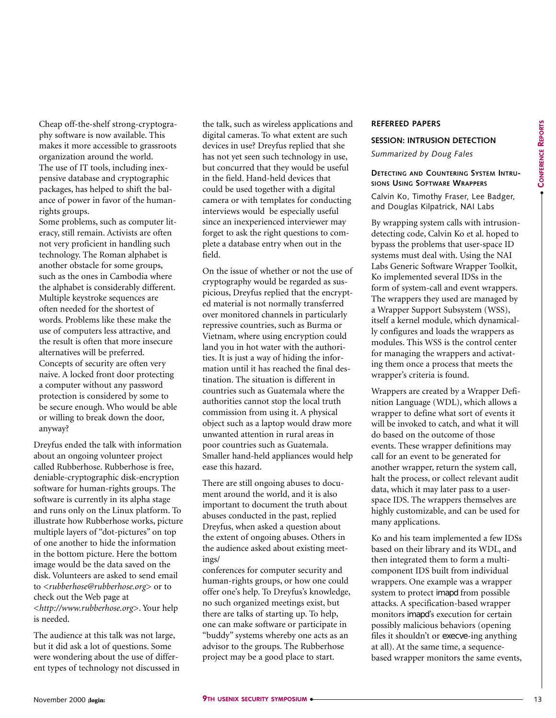Cheap off-the-shelf strong-cryptography software is now available. This makes it more accessible to grassroots organization around the world. The use of IT tools, including inexpensive database and cryptographic packages, has helped to shift the balance of power in favor of the humanrights groups.

Some problems, such as computer literacy, still remain. Activists are often not very proficient in handling such technology. The Roman alphabet is another obstacle for some groups, such as the ones in Cambodia where the alphabet is considerably different. Multiple keystroke sequences are often needed for the shortest of words. Problems like these make the use of computers less attractive, and the result is often that more insecure alternatives will be preferred. Concepts of security are often very naive. A locked front door protecting a computer without any password protection is considered by some to be secure enough. Who would be able or willing to break down the door, anyway?

Dreyfus ended the talk with information about an ongoing volunteer project called Rubberhose. Rubberhose is free, deniable-cryptographic disk-encryption software for human-rights groups. The software is currently in its alpha stage and runs only on the Linux platform. To illustrate how Rubberhose works, picture multiple layers of "dot-pictures" on top of one another to hide the information in the bottom picture. Here the bottom image would be the data saved on the disk. Volunteers are asked to send email to <*rubberhose@rubberhose.org*> or to check out the Web page at <*<http://www.rubberhose.org>*>. Your help is needed.

The audience at this talk was not large, but it did ask a lot of questions. Some were wondering about the use of different types of technology not discussed in the talk, such as wireless applications and digital cameras. To what extent are such devices in use? Dreyfus replied that she has not yet seen such technology in use, but concurred that they would be useful in the field. Hand-held devices that could be used together with a digital camera or with templates for conducting interviews would be especially useful since an inexperienced interviewer may forget to ask the right questions to complete a database entry when out in the field.

On the issue of whether or not the use of cryptography would be regarded as suspicious, Dreyfus replied that the encrypted material is not normally transferred over monitored channels in particularly repressive countries, such as Burma or Vietnam, where using encryption could land you in hot water with the authorities. It is just a way of hiding the information until it has reached the final destination. The situation is different in countries such as Guatemala where the authorities cannot stop the local truth commission from using it. A physical object such as a laptop would draw more unwanted attention in rural areas in poor countries such as Guatemala. Smaller hand-held appliances would help ease this hazard.

There are still ongoing abuses to document around the world, and it is also important to document the truth about abuses conducted in the past, replied Dreyfus, when asked a question about the extent of ongoing abuses. Others in the audience asked about existing meetings/

conferences for computer security and human-rights groups, or how one could offer one's help. To Dreyfus's knowledge, no such organized meetings exist, but there are talks of starting up. To help, one can make software or participate in "buddy" systems whereby one acts as an advisor to the groups. The Rubberhose project may be a good place to start.

## **REFEREED PAPERS**

#### **SESSION: INTRUSION DETECTION**

*Summarized by Doug Fales*

## **DETECTING AND COUNTERING SYSTEM INTRU-SIONS USING SOFTWARE WRAPPERS**

Calvin Ko, Timothy Fraser, Lee Badger, and Douglas Kilpatrick, NAI Labs

By wrapping system calls with intrusiondetecting code, Calvin Ko et al. hoped to bypass the problems that user-space ID systems must deal with. Using the NAI Labs Generic Software Wrapper Toolkit, Ko implemented several IDSs in the form of system-call and event wrappers. The wrappers they used are managed by a Wrapper Support Subsystem (WSS), itself a kernel module, which dynamically configures and loads the wrappers as modules. This WSS is the control center for managing the wrappers and activating them once a process that meets the wrapper's criteria is found.

Wrappers are created by a Wrapper Definition Language (WDL), which allows a wrapper to define what sort of events it will be invoked to catch, and what it will do based on the outcome of those events. These wrapper definitions may call for an event to be generated for another wrapper, return the system call, halt the process, or collect relevant audit data, which it may later pass to a userspace IDS. The wrappers themselves are highly customizable, and can be used for many applications.

Ko and his team implemented a few IDSs based on their library and its WDL, and then integrated them to form a multicomponent IDS built from individual wrappers. One example was a wrapper system to protect imapd from possible attacks. A specification-based wrapper monitors imapd's execution for certain possibly malicious behaviors (opening files it shouldn't or execve-ing anything at all). At the same time, a sequencebased wrapper monitors the same events,

●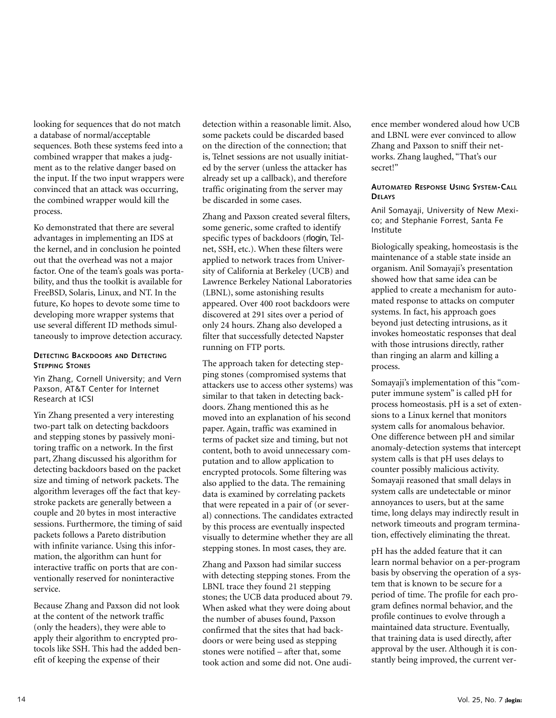looking for sequences that do not match a database of normal/acceptable sequences. Both these systems feed into a combined wrapper that makes a judgment as to the relative danger based on the input. If the two input wrappers were convinced that an attack was occurring, the combined wrapper would kill the process.

Ko demonstrated that there are several advantages in implementing an IDS at the kernel, and in conclusion he pointed out that the overhead was not a major factor. One of the team's goals was portability, and thus the toolkit is available for FreeBSD, Solaris, Linux, and NT. In the future, Ko hopes to devote some time to developing more wrapper systems that use several different ID methods simultaneously to improve detection accuracy.

## **DETECTING BACKDOORS AND DETECTING STEPPING STONES**

Yin Zhang, Cornell University; and Vern Paxson, AT&T Center for Internet Research at ICSI

Yin Zhang presented a very interesting two-part talk on detecting backdoors and stepping stones by passively monitoring traffic on a network. In the first part, Zhang discussed his algorithm for detecting backdoors based on the packet size and timing of network packets. The algorithm leverages off the fact that keystroke packets are generally between a couple and 20 bytes in most interactive sessions. Furthermore, the timing of said packets follows a Pareto distribution with infinite variance. Using this information, the algorithm can hunt for interactive traffic on ports that are conventionally reserved for noninteractive service.

Because Zhang and Paxson did not look at the content of the network traffic (only the headers), they were able to apply their algorithm to encrypted protocols like SSH. This had the added benefit of keeping the expense of their

detection within a reasonable limit. Also, some packets could be discarded based on the direction of the connection; that is, Telnet sessions are not usually initiated by the server (unless the attacker has already set up a callback), and therefore traffic originating from the server may be discarded in some cases.

Zhang and Paxson created several filters, some generic, some crafted to identify specific types of backdoors (rlogin, Telnet, SSH, etc.). When these filters were applied to network traces from University of California at Berkeley (UCB) and Lawrence Berkeley National Laboratories (LBNL), some astonishing results appeared. Over 400 root backdoors were discovered at 291 sites over a period of only 24 hours. Zhang also developed a filter that successfully detected Napster running on FTP ports.

The approach taken for detecting stepping stones (compromised systems that attackers use to access other systems) was similar to that taken in detecting backdoors. Zhang mentioned this as he moved into an explanation of his second paper. Again, traffic was examined in terms of packet size and timing, but not content, both to avoid unnecessary computation and to allow application to encrypted protocols. Some filtering was also applied to the data. The remaining data is examined by correlating packets that were repeated in a pair of (or several) connections. The candidates extracted by this process are eventually inspected visually to determine whether they are all stepping stones. In most cases, they are.

Zhang and Paxson had similar success with detecting stepping stones. From the LBNL trace they found 21 stepping stones; the UCB data produced about 79. When asked what they were doing about the number of abuses found, Paxson confirmed that the sites that had backdoors or were being used as stepping stones were notified – after that, some took action and some did not. One audience member wondered aloud how UCB and LBNL were ever convinced to allow Zhang and Paxson to sniff their networks. Zhang laughed, "That's our secret!"

## **AUTOMATED RESPONSE USING SYSTEM-CALL DELAYS**

Anil Somayaji, University of New Mexico; and Stephanie Forrest, Santa Fe Institute

Biologically speaking, homeostasis is the maintenance of a stable state inside an organism. Anil Somayaji's presentation showed how that same idea can be applied to create a mechanism for automated response to attacks on computer systems. In fact, his approach goes beyond just detecting intrusions, as it invokes homeostatic responses that deal with those intrusions directly, rather than ringing an alarm and killing a process.

Somayaji's implementation of this "computer immune system" is called pH for process homeostasis. pH is a set of extensions to a Linux kernel that monitors system calls for anomalous behavior. One difference between pH and similar anomaly-detection systems that intercept system calls is that pH uses delays to counter possibly malicious activity. Somayaji reasoned that small delays in system calls are undetectable or minor annoyances to users, but at the same time, long delays may indirectly result in network timeouts and program termination, effectively eliminating the threat.

pH has the added feature that it can learn normal behavior on a per-program basis by observing the operation of a system that is known to be secure for a period of time. The profile for each program defines normal behavior, and the profile continues to evolve through a maintained data structure. Eventually, that training data is used directly, after approval by the user. Although it is constantly being improved, the current ver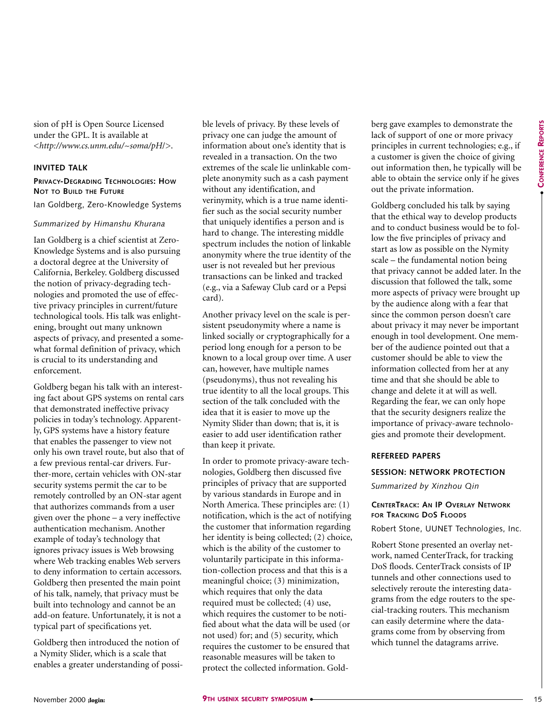sion of pH is Open Source Licensed under the GPL. It is available at <*[http://www.cs.unm.edu/~soma/pH](http://www.cs.unm.edu/~soma/pH/)*/>.

## **INVITED TALK**

#### **PRIVACY-DEGRADING TECHNOLOGIES: HOW NOT TO BUILD THE FUTURE**

Ian Goldberg, Zero-Knowledge Systems

## *Summarized by Himanshu Khurana*

Ian Goldberg is a chief scientist at Zero-Knowledge Systems and is also pursuing a doctoral degree at the University of California, Berkeley. Goldberg discussed the notion of privacy-degrading technologies and promoted the use of effective privacy principles in current/future technological tools. His talk was enlightening, brought out many unknown aspects of privacy, and presented a somewhat formal definition of privacy, which is crucial to its understanding and enforcement.

Goldberg began his talk with an interesting fact about GPS systems on rental cars that demonstrated ineffective privacy policies in today's technology. Apparently, GPS systems have a history feature that enables the passenger to view not only his own travel route, but also that of a few previous rental-car drivers. Further-more, certain vehicles with ON-star security systems permit the car to be remotely controlled by an ON-star agent that authorizes commands from a user given over the phone – a very ineffective authentication mechanism. Another example of today's technology that ignores privacy issues is Web browsing where Web tracking enables Web servers to deny information to certain accessors. Goldberg then presented the main point of his talk, namely, that privacy must be built into technology and cannot be an add-on feature. Unfortunately, it is not a typical part of specifications yet.

Goldberg then introduced the notion of a Nymity Slider, which is a scale that enables a greater understanding of possible levels of privacy. By these levels of privacy one can judge the amount of information about one's identity that is revealed in a transaction. On the two extremes of the scale lie unlinkable complete anonymity such as a cash payment without any identification, and verinymity, which is a true name identifier such as the social security number that uniquely identifies a person and is hard to change. The interesting middle spectrum includes the notion of linkable anonymity where the true identity of the user is not revealed but her previous transactions can be linked and tracked (e.g., via a Safeway Club card or a Pepsi card).

Another privacy level on the scale is persistent pseudonymity where a name is linked socially or cryptographically for a period long enough for a person to be known to a local group over time. A user can, however, have multiple names (pseudonyms), thus not revealing his true identity to all the local groups. This section of the talk concluded with the idea that it is easier to move up the Nymity Slider than down; that is, it is easier to add user identification rather than keep it private.

In order to promote privacy-aware technologies, Goldberg then discussed five principles of privacy that are supported by various standards in Europe and in North America. These principles are: (1) notification, which is the act of notifying the customer that information regarding her identity is being collected; (2) choice, which is the ability of the customer to voluntarily participate in this information-collection process and that this is a meaningful choice; (3) minimization, which requires that only the data required must be collected; (4) use, which requires the customer to be notified about what the data will be used (or not used) for; and (5) security, which requires the customer to be ensured that reasonable measures will be taken to protect the collected information. Goldberg gave examples to demonstrate the lack of support of one or more privacy principles in current technologies; e.g., if a customer is given the choice of giving out information then, he typically will be able to obtain the service only if he gives out the private information.

Goldberg concluded his talk by saying that the ethical way to develop products and to conduct business would be to follow the five principles of privacy and start as low as possible on the Nymity scale – the fundamental notion being that privacy cannot be added later. In the discussion that followed the talk, some more aspects of privacy were brought up by the audience along with a fear that since the common person doesn't care about privacy it may never be important enough in tool development. One member of the audience pointed out that a customer should be able to view the information collected from her at any time and that she should be able to change and delete it at will as well. Regarding the fear, we can only hope that the security designers realize the importance of privacy-aware technologies and promote their development.

## **REFEREED PAPERS**

## **SESSION: NETWORK PROTECTION**

*Summarized by Xinzhou Qin*

## **CENTERTRACK: AN IP OVERLAY NETWORK FOR TRACKING DOS FLOODS**

Robert Stone, UUNET Technologies, Inc.

Robert Stone presented an overlay network, named CenterTrack, for tracking DoS floods. CenterTrack consists of IP tunnels and other connections used to selectively reroute the interesting datagrams from the edge routers to the special-tracking routers. This mechanism can easily determine where the datagrams come from by observing from which tunnel the datagrams arrive.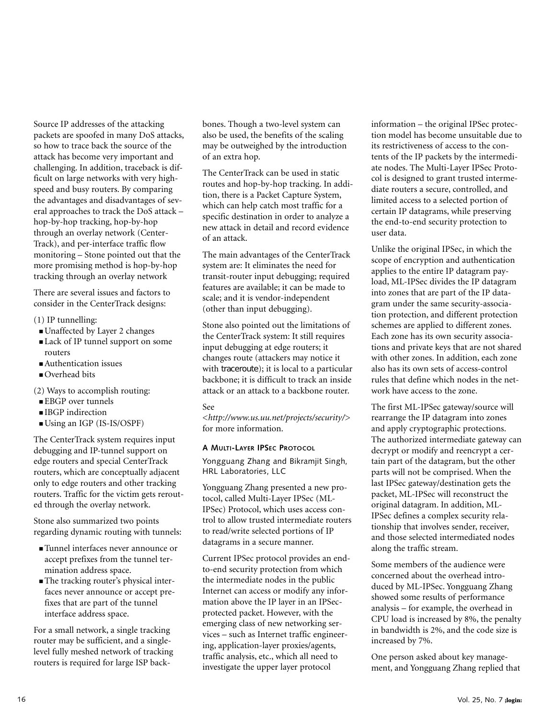Source IP addresses of the attacking packets are spoofed in many DoS attacks, so how to trace back the source of the attack has become very important and challenging. In addition, traceback is difficult on large networks with very highspeed and busy routers. By comparing the advantages and disadvantages of several approaches to track the DoS attack – hop-by-hop tracking, hop-by-hop through an overlay network (Center-Track), and per-interface traffic flow monitoring – Stone pointed out that the more promising method is hop-by-hop tracking through an overlay network

There are several issues and factors to consider in the CenterTrack designs:

- (1) IP tunnelling:
- Unaffected by Layer 2 changes
- Lack of IP tunnel support on some routers
- Authentication issues
- Overhead bits

(2) Ways to accomplish routing:

- EBGP over tunnels
- IBGP indirection
- Using an IGP (IS-IS/OSPF)

The CenterTrack system requires input debugging and IP-tunnel support on edge routers and special CenterTrack routers, which are conceptually adjacent only to edge routers and other tracking routers. Traffic for the victim gets rerouted through the overlay network.

Stone also summarized two points regarding dynamic routing with tunnels:

- Tunnel interfaces never announce or accept prefixes from the tunnel termination address space.
- The tracking router's physical interfaces never announce or accept prefixes that are part of the tunnel interface address space.

For a small network, a single tracking router may be sufficient, and a singlelevel fully meshed network of tracking routers is required for large ISP backbones. Though a two-level system can also be used, the benefits of the scaling may be outweighed by the introduction of an extra hop.

The CenterTrack can be used in static routes and hop-by-hop tracking. In addition, there is a Packet Capture System, which can help catch most traffic for a specific destination in order to analyze a new attack in detail and record evidence of an attack.

The main advantages of the CenterTrack system are: It eliminates the need for transit-router input debugging; required features are available; it can be made to scale; and it is vendor-independent (other than input debugging).

Stone also pointed out the limitations of the CenterTrack system: It still requires input debugging at edge routers; it changes route (attackers may notice it with traceroute); it is local to a particular backbone; it is difficult to track an inside attack or an attack to a backbone router.

## See

<*<http://www.us.uu.net/projects/security/>*> for more information.

## **A MULTI-LAYER IPSEC PROTOCOL**

Yongguang Zhang and Bikramjit Singh, HRL Laboratories, LLC

Yongguang Zhang presented a new protocol, called Multi-Layer IPSec (ML-IPSec) Protocol, which uses access control to allow trusted intermediate routers to read/write selected portions of IP datagrams in a secure manner.

Current IPSec protocol provides an endto-end security protection from which the intermediate nodes in the public Internet can access or modify any information above the IP layer in an IPSecprotected packet. However, with the emerging class of new networking services – such as Internet traffic engineering, application-layer proxies/agents, traffic analysis, etc., which all need to investigate the upper layer protocol

information – the original IPSec protection model has become unsuitable due to its restrictiveness of access to the contents of the IP packets by the intermediate nodes. The Multi-Layer IPSec Protocol is designed to grant trusted intermediate routers a secure, controlled, and limited access to a selected portion of certain IP datagrams, while preserving the end-to-end security protection to user data.

Unlike the original IPSec, in which the scope of encryption and authentication applies to the entire IP datagram payload, ML-IPSec divides the IP datagram into zones that are part of the IP datagram under the same security-association protection, and different protection schemes are applied to different zones. Each zone has its own security associations and private keys that are not shared with other zones. In addition, each zone also has its own sets of access-control rules that define which nodes in the network have access to the zone.

The first ML-IPSec gateway/source will rearrange the IP datagram into zones and apply cryptographic protections. The authorized intermediate gateway can decrypt or modify and reencrypt a certain part of the datagram, but the other parts will not be comprised. When the last IPSec gateway/destination gets the packet, ML-IPSec will reconstruct the original datagram. In addition, ML-IPSec defines a complex security relationship that involves sender, receiver, and those selected intermediated nodes along the traffic stream.

Some members of the audience were concerned about the overhead introduced by ML-IPSec. Yongguang Zhang showed some results of performance analysis – for example, the overhead in CPU load is increased by 8%, the penalty in bandwidth is 2%, and the code size is increased by 7%.

One person asked about key management, and Yongguang Zhang replied that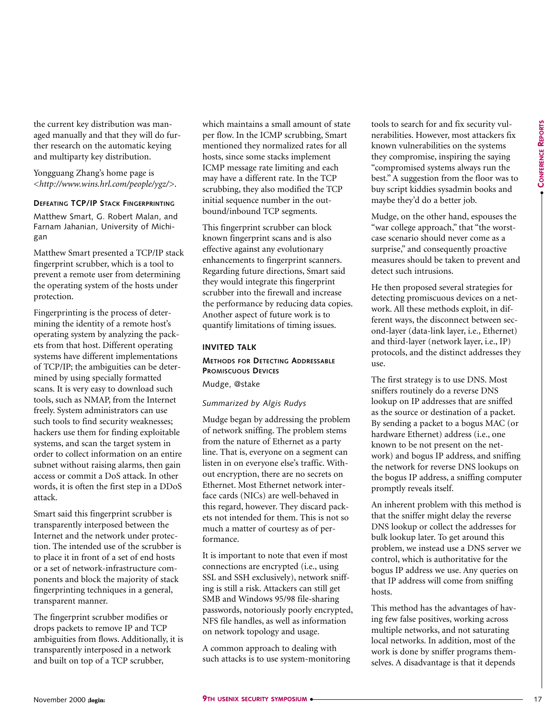the current key distribution was managed manually and that they will do further research on the automatic keying and multiparty key distribution.

Yongguang Zhang's home page is <*<http://www.wins.hrl.com/people/ygz/>*>.

#### **DEFEATING TCP/IP STACK FINGERPRINTING**

Matthew Smart, G. Robert Malan, and Farnam Jahanian, University of Michigan

Matthew Smart presented a TCP/IP stack fingerprint scrubber, which is a tool to prevent a remote user from determining the operating system of the hosts under protection.

Fingerprinting is the process of determining the identity of a remote host's operating system by analyzing the packets from that host. Different operating systems have different implementations of TCP/IP; the ambiguities can be determined by using specially formatted scans. It is very easy to download such tools, such as NMAP, from the Internet freely. System administrators can use such tools to find security weaknesses; hackers use them for finding exploitable systems, and scan the target system in order to collect information on an entire subnet without raising alarms, then gain access or commit a DoS attack. In other words, it is often the first step in a DDoS attack.

Smart said this fingerprint scrubber is transparently interposed between the Internet and the network under protection. The intended use of the scrubber is to place it in front of a set of end hosts or a set of network-infrastructure components and block the majority of stack fingerprinting techniques in a general, transparent manner.

The fingerprint scrubber modifies or drops packets to remove IP and TCP ambiguities from flows. Additionally, it is transparently interposed in a network and built on top of a TCP scrubber,

which maintains a small amount of state per flow. In the ICMP scrubbing, Smart mentioned they normalized rates for all hosts, since some stacks implement ICMP message rate limiting and each may have a different rate. In the TCP scrubbing, they also modified the TCP initial sequence number in the outbound/inbound TCP segments.

This fingerprint scrubber can block known fingerprint scans and is also effective against any evolutionary enhancements to fingerprint scanners. Regarding future directions, Smart said they would integrate this fingerprint scrubber into the firewall and increase the performance by reducing data copies. Another aspect of future work is to quantify limitations of timing issues.

## **INVITED TALK**

## **METHODS FOR DETECTING ADDRESSABLE PROMISCUOUS DEVICES**

Mudge, @stake

## *Summarized by Algis Rudys*

Mudge began by addressing the problem of network sniffing. The problem stems from the nature of Ethernet as a party line. That is, everyone on a segment can listen in on everyone else's traffic. Without encryption, there are no secrets on Ethernet. Most Ethernet network interface cards (NICs) are well-behaved in this regard, however. They discard packets not intended for them. This is not so much a matter of courtesy as of performance.

It is important to note that even if most connections are encrypted (i.e., using SSL and SSH exclusively), network sniffing is still a risk. Attackers can still get SMB and Windows 95/98 file-sharing passwords, notoriously poorly encrypted, NFS file handles, as well as information on network topology and usage.

A common approach to dealing with such attacks is to use system-monitoring tools to search for and fix security vulnerabilities. However, most attackers fix known vulnerabilities on the systems they compromise, inspiring the saying "compromised systems always run the best." A suggestion from the floor was to buy script kiddies sysadmin books and maybe they'd do a better job.

Mudge, on the other hand, espouses the "war college approach," that "the worstcase scenario should never come as a surprise," and consequently proactive measures should be taken to prevent and detect such intrusions.

He then proposed several strategies for detecting promiscuous devices on a network. All these methods exploit, in different ways, the disconnect between second-layer (data-link layer, i.e., Ethernet) and third-layer (network layer, i.e., IP) protocols, and the distinct addresses they use.

The first strategy is to use DNS. Most sniffers routinely do a reverse DNS lookup on IP addresses that are sniffed as the source or destination of a packet. By sending a packet to a bogus MAC (or hardware Ethernet) address (i.e., one known to be not present on the network) and bogus IP address, and sniffing the network for reverse DNS lookups on the bogus IP address, a sniffing computer promptly reveals itself.

An inherent problem with this method is that the sniffer might delay the reverse DNS lookup or collect the addresses for bulk lookup later. To get around this problem, we instead use a DNS server we control, which is authoritative for the bogus IP address we use. Any queries on that IP address will come from sniffing hosts.

This method has the advantages of having few false positives, working across multiple networks, and not saturating local networks. In addition, most of the work is done by sniffer programs themselves. A disadvantage is that it depends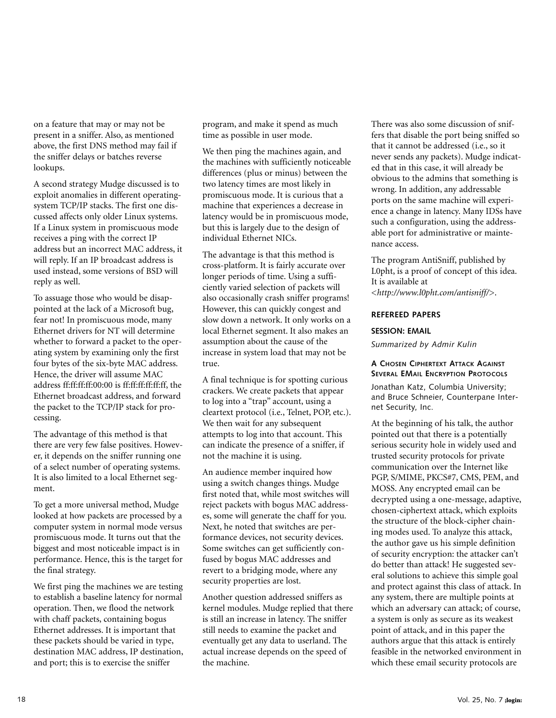on a feature that may or may not be present in a sniffer. Also, as mentioned above, the first DNS method may fail if the sniffer delays or batches reverse lookups.

A second strategy Mudge discussed is to exploit anomalies in different operatingsystem TCP/IP stacks. The first one discussed affects only older Linux systems. If a Linux system in promiscuous mode receives a ping with the correct IP address but an incorrect MAC address, it will reply. If an IP broadcast address is used instead, some versions of BSD will reply as well.

To assuage those who would be disappointed at the lack of a Microsoft bug, fear not! In promiscuous mode, many Ethernet drivers for NT will determine whether to forward a packet to the operating system by examining only the first four bytes of the six-byte MAC address. Hence, the driver will assume MAC address ff:ff:ff:ff:00:00 is ff:ff:ff:ff:ff:ff, the Ethernet broadcast address, and forward the packet to the TCP/IP stack for processing.

The advantage of this method is that there are very few false positives. However, it depends on the sniffer running one of a select number of operating systems. It is also limited to a local Ethernet segment.

To get a more universal method, Mudge looked at how packets are processed by a computer system in normal mode versus promiscuous mode. It turns out that the biggest and most noticeable impact is in performance. Hence, this is the target for the final strategy.

We first ping the machines we are testing to establish a baseline latency for normal operation. Then, we flood the network with chaff packets, containing bogus Ethernet addresses. It is important that these packets should be varied in type, destination MAC address, IP destination, and port; this is to exercise the sniffer

program, and make it spend as much time as possible in user mode.

We then ping the machines again, and the machines with sufficiently noticeable differences (plus or minus) between the two latency times are most likely in promiscuous mode. It is curious that a machine that experiences a decrease in latency would be in promiscuous mode, but this is largely due to the design of individual Ethernet NICs.

The advantage is that this method is cross-platform. It is fairly accurate over longer periods of time. Using a sufficiently varied selection of packets will also occasionally crash sniffer programs! However, this can quickly congest and slow down a network. It only works on a local Ethernet segment. It also makes an assumption about the cause of the increase in system load that may not be true.

A final technique is for spotting curious crackers. We create packets that appear to log into a "trap" account, using a cleartext protocol (i.e., Telnet, POP, etc.). We then wait for any subsequent attempts to log into that account. This can indicate the presence of a sniffer, if not the machine it is using.

An audience member inquired how using a switch changes things. Mudge first noted that, while most switches will reject packets with bogus MAC addresses, some will generate the chaff for you. Next, he noted that switches are performance devices, not security devices. Some switches can get sufficiently confused by bogus MAC addresses and revert to a bridging mode, where any security properties are lost.

Another question addressed sniffers as kernel modules. Mudge replied that there is still an increase in latency. The sniffer still needs to examine the packet and eventually get any data to userland. The actual increase depends on the speed of the machine.

There was also some discussion of sniffers that disable the port being sniffed so that it cannot be addressed (i.e., so it never sends any packets). Mudge indicated that in this case, it will already be obvious to the admins that something is wrong. In addition, any addressable ports on the same machine will experience a change in latency. Many IDSs have such a configuration, using the addressable port for administrative or maintenance access.

The program AntiSniff, published by L0pht, is a proof of concept of this idea. It is available at <*<http://www.l0pht.com/antisniff/>*>.

## **REFEREED PAPERS**

#### **SESSION: EMAIL**

*Summarized by Admir Kulin*

## **A CHOSEN CIPHERTEXT ATTACK AGAINST SEVERAL EMAIL ENCRYPTION PROTOCOLS**

Jonathan Katz, Columbia University; and Bruce Schneier, Counterpane Internet Security, Inc.

At the beginning of his talk, the author pointed out that there is a potentially serious security hole in widely used and trusted security protocols for private communication over the Internet like PGP, S/MIME, PKCS#7, CMS, PEM, and MOSS. Any encrypted email can be decrypted using a one-message, adaptive, chosen-ciphertext attack, which exploits the structure of the block-cipher chaining modes used. To analyze this attack, the author gave us his simple definition of security encryption: the attacker can't do better than attack! He suggested several solutions to achieve this simple goal and protect against this class of attack. In any system, there are multiple points at which an adversary can attack; of course, a system is only as secure as its weakest point of attack, and in this paper the authors argue that this attack is entirely feasible in the networked environment in which these email security protocols are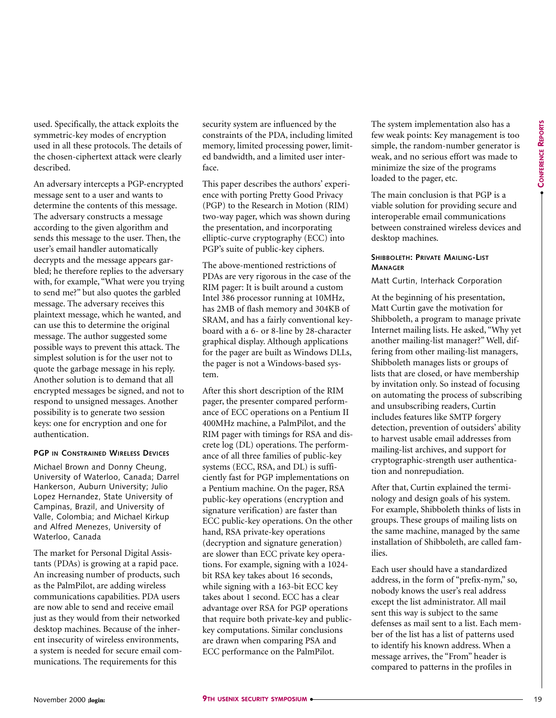●

used. Specifically, the attack exploits the symmetric-key modes of encryption used in all these protocols. The details of the chosen-ciphertext attack were clearly described.

An adversary intercepts a PGP-encrypted message sent to a user and wants to determine the contents of this message. The adversary constructs a message according to the given algorithm and sends this message to the user. Then, the user's email handler automatically decrypts and the message appears garbled; he therefore replies to the adversary with, for example, "What were you trying to send me?" but also quotes the garbled message. The adversary receives this plaintext message, which he wanted, and can use this to determine the original message. The author suggested some possible ways to prevent this attack. The simplest solution is for the user not to quote the garbage message in his reply. Another solution is to demand that all encrypted messages be signed, and not to respond to unsigned messages. Another possibility is to generate two session keys: one for encryption and one for authentication.

## **PGP IN CONSTRAINED WIRELESS DEVICES**

Michael Brown and Donny Cheung, University of Waterloo, Canada; Darrel Hankerson, Auburn University; Julio Lopez Hernandez, State University of Campinas, Brazil, and University of Valle, Colombia; and Michael Kirkup and Alfred Menezes, University of Waterloo, Canada

The market for Personal Digital Assistants (PDAs) is growing at a rapid pace. An increasing number of products, such as the PalmPilot, are adding wireless communications capabilities. PDA users are now able to send and receive email just as they would from their networked desktop machines. Because of the inherent insecurity of wireless environments, a system is needed for secure email communications. The requirements for this

security system are influenced by the constraints of the PDA, including limited memory, limited processing power, limited bandwidth, and a limited user interface.

This paper describes the authors' experience with porting Pretty Good Privacy (PGP) to the Research in Motion (RIM) two-way pager, which was shown during the presentation, and incorporating elliptic-curve cryptography (ECC) into PGP's suite of public-key ciphers.

The above-mentioned restrictions of PDAs are very rigorous in the case of the RIM pager: It is built around a custom Intel 386 processor running at 10MHz, has 2MB of flash memory and 304KB of SRAM, and has a fairly conventional keyboard with a 6- or 8-line by 28-character graphical display. Although applications for the pager are built as Windows DLLs, the pager is not a Windows-based system.

After this short description of the RIM pager, the presenter compared performance of ECC operations on a Pentium II 400MHz machine, a PalmPilot, and the RIM pager with timings for RSA and discrete log (DL) operations. The performance of all three families of public-key systems (ECC, RSA, and DL) is sufficiently fast for PGP implementations on a Pentium machine. On the pager, RSA public-key operations (encryption and signature verification) are faster than ECC public-key operations. On the other hand, RSA private-key operations (decryption and signature generation) are slower than ECC private key operations. For example, signing with a 1024 bit RSA key takes about 16 seconds, while signing with a 163-bit ECC key takes about 1 second. ECC has a clear advantage over RSA for PGP operations that require both private-key and publickey computations. Similar conclusions are drawn when comparing PSA and ECC performance on the PalmPilot.

The system implementation also has a few weak points: Key management is too simple, the random-number generator is weak, and no serious effort was made to minimize the size of the programs loaded to the pager, etc.

The main conclusion is that PGP is a viable solution for providing secure and interoperable email communications between constrained wireless devices and desktop machines.

## **SHIBBOLETH: PRIVATE MAILING-LIST MANAGER**

Matt Curtin, Interhack Corporation

At the beginning of his presentation, Matt Curtin gave the motivation for Shibboleth, a program to manage private Internet mailing lists. He asked, "Why yet another mailing-list manager?" Well, differing from other mailing-list managers, Shibboleth manages lists or groups of lists that are closed, or have membership by invitation only. So instead of focusing on automating the process of subscribing and unsubscribing readers, Curtin includes features like SMTP forgery detection, prevention of outsiders' ability to harvest usable email addresses from mailing-list archives, and support for cryptographic-strength user authentication and nonrepudiation.

After that, Curtin explained the terminology and design goals of his system. For example, Shibboleth thinks of lists in groups. These groups of mailing lists on the same machine, managed by the same installation of Shibboleth, are called families.

Each user should have a standardized address, in the form of "prefix-nym," so, nobody knows the user's real address except the list administrator. All mail sent this way is subject to the same defenses as mail sent to a list. Each member of the list has a list of patterns used to identify his known address. When a message arrives, the "From" header is compared to patterns in the profiles in